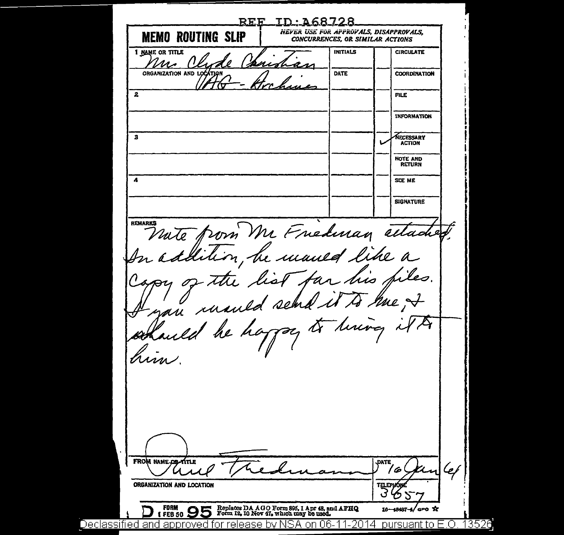REF ID 168728 NEVER USE FOR AFFROVALS, DISAPPROVALS, **MEMO ROUTING SLIP** CONCURRENCES, OR SIMILAR ACTIONS **1 NAME OR TITLE INITIALS CIRCULATE**  $^{\prime\prime}$ ORGANIZATION AND LOCATION DATE **COORDINATION**  $\mathbf{z}$ **FILE INFORMATION**  $\mathbf{a}$ NECESSARY **ACTION** NOTE AND RETURN SCE ME A **SIGNATURE** nute from Mr Friedman attached.<br>In addition, he maned like a **REMARK** the list far his files.  $\mathscr{D}$  $4704$ re ,<del>J</del> an ruaned send.  $\sqrt{2}$ schauld be happy to him. FROM NAME OR TITLE **DATE** '6 للمسكر ORGANIZATION AND LOCATION **FORM** Replaces DA AGO Form 895, 1 Apr 48, and AFHQ<br>Form 12, 10 Nov 47, which may be used.  $10-$ ′ceo \*a -48497 1 FEB 50 pursuant to E.O. Declassified and approved for release by NSA on 06-1 13526 -2014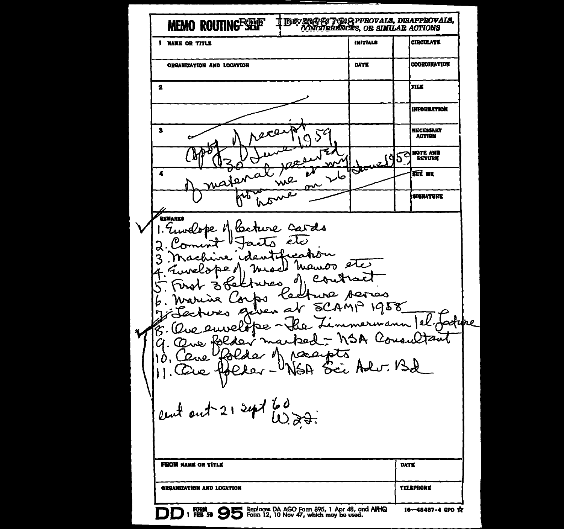**MEMO ROUTING SEP** T INSVANGE: TORAPPROVALS, DISAPPROVALS,<br>T. CONCURRANCES, OR SIMILAR ACTIONS **CIRCULATE INITIALS 1 HARE OR TITLE COORDINATION** DATE ORGANIZATION AND LOCATION  $\mathbf{2}$ **FILK** INFORWATION  $\mathbf{3}$ NECESSARY  $250$ z  $\mathcal{S}$ **ACTION** NOTE AND 0 ۱Q Ъ RETURN w  $\infty$ ß u  $\overline{\phantom{a}}$ Δ we صا اره  $\mathbf{r}^{\mathbf{v}}$  $\bar{a}$ **SIGNATURE** ᄽ Δ ,<br>Renarks Ceture Cards wederbe l' رىلە ū۸ earb manoo etc CA d مصر Asr صصہ ura ۳a ٦đ. 1958 2G A adure erwann Ġ. Con stant SA. أمقحا racepts  $\Omega$  $\mathcal{D}$ 310 Sei Adur. Bd cent out 21 sept 60 **FROM NAME OR TITLE DATE ORGANIZATION AND LOCATION TELEPHONE DD** 1 FORM **99 95** Reploces DA AGO Form 895, 1 Apr 48, and AFHQ 16-48487-4 GPO X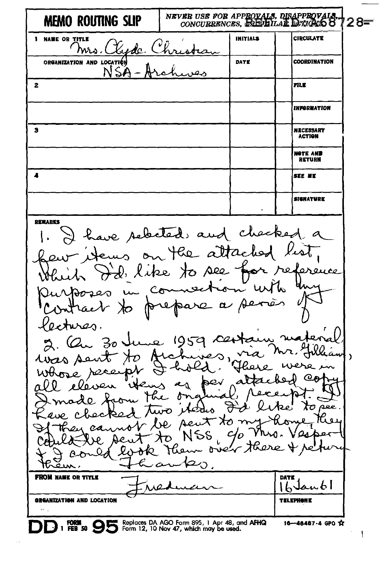NEVER USE FOR APPROVALS, DISAPPROVALS, CONCURRENCES, REEPLILAR DENGALS 8 MEMO ROUTING SLIP 728≡ **CIRCULATE 1 NAME OR TITLE INITIALS** <u>Xyde</u> C hrs.l tis ORGANIZATION AND LOCATION **COORDINATION** DATE  $NSA-A$ لمبصر  $\overline{2}$ **FILE INFORMATION**  $\overline{\mathbf{s}}$ **NECESSARY ACTION** NOTE AND **DETIIDE**  $\overline{\mathbf{A}}$ SEE ME **SIGNATURK DEMARKS** have selected and checked  $\overline{a}$ ews on the attaches like to see rederence Ò  $c_{\sigma}$ A  $\alpha$ y ures.  $1959$ نعد Зο  $\lambda$ Ò hold  $\mathbf{p}$ bev  $4 \pi$ Р., ħ  $\lambda \sigma$  pee. iterin turo بہ yΩ Aeu **NSS**  $\alpha$ δÚ  $\dot{\sigma}$ عنπ へ **FROM NAME OR TITLE DATE** anbl  $\mathbf{h}$ **GREANIZATION AND LOCATION TELEPHONE** FORM 1 FEB 50 Seplaces DA AGO Form 895, 1 Apr 48, and AFHQ 1 FEB 50 Septem 12, 10 Nov 47, which may be used. 16-48487-4 GPO \$2

f,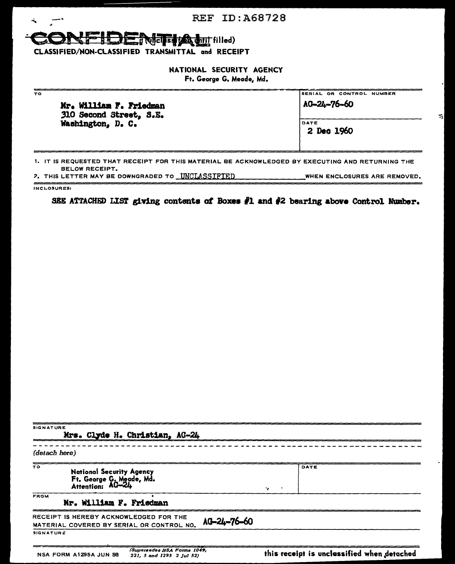### REF ID:A68728

### **Experience of the second filled**)

CLASSIFIED/NON-CLASSIFIED TRANSMITTAL and RECEIPT

NATIONAL SECURITY AGENCY

| Ft. George G. Meade, Md. |  |  |  |
|--------------------------|--|--|--|
|--------------------------|--|--|--|

| TO<br>Mr. William F. Friedman                | SERIAL OR CONTROL NUMBER<br>AG-24-76-60 |
|----------------------------------------------|-----------------------------------------|
| 310 Second Street, S.E.<br>Washington, D. C. |                                         |
|                                              | DATE<br>2 Dec 1960                      |
|                                              |                                         |
|                                              |                                         |

ᆌ

1, IT IS REQUESTED THAT RECEIPT FOR THIS MATERIAL BE ACKNOWLEDGED BY EXECUTING AND RETURNING THE BELOW RECEIPT. *?*. THIS LETTER MAY BE DOWNGRADED TO <u>UNCLASSIFIED. Compared the latinum</u> WHEN ENCLOSURES ARE REMOVED.

INCLOSURES:

 $\mathbf{A}$ 

جسس

SEE ATTACHED LIST giving contents of Boxes  $#1$  and  $#2$  bearing above Control Number.

| <b>SIGNATURE</b><br>Mrs. Clyde H. Christian, AG-24                                                 |                                            |  |  |  |
|----------------------------------------------------------------------------------------------------|--------------------------------------------|--|--|--|
| (detach here)                                                                                      |                                            |  |  |  |
| ᅲ<br><b>National Security Agency</b><br>Ft. George G. Meade, Md.<br>Attention: AG-24               | DATE<br>ъ.                                 |  |  |  |
| FROM<br>Mr. William F. Friedman                                                                    |                                            |  |  |  |
| RECEIPT IS HEREBY ACKNOWLEDGED FOR THE<br>AG-24-76-60<br>MATERIAL COVERED BY SERIAL OR CONTROL NO. |                                            |  |  |  |
| <b>SIGNATURE</b>                                                                                   |                                            |  |  |  |
| (Supersedes NSA Forms 1049,<br>NSA FORM A1295A JUN 58<br>221, 5 and 1295 2 Jul 52)                 | this receipt is unclassified when detached |  |  |  |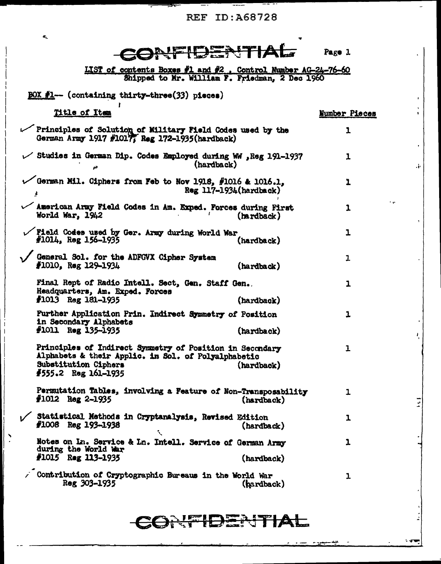**REF ID: A68728** 

 $\mathcal{L}$ 

7

٠,

 $\tilde{\mathbf{r}}_k$ 

 $\sum_{i=1}^{n}$ 

| ZONFIDENTIAL                                                                                                                                                                 | Page 1        |
|------------------------------------------------------------------------------------------------------------------------------------------------------------------------------|---------------|
| LIST of contents Boxes #1 and #2, Control Number AG-24-76-60<br>Shipped to Mr. William F. Friedman, 2 Dec 1960                                                               |               |
| $BOX$ #1 - (containing thirty-three(33) pieces)                                                                                                                              |               |
| Title of Item                                                                                                                                                                | Number Pieces |
| Principles of Solution of Military Field Codes used by the<br>German Army 1917 #1017, Reg 172-1935 (hardback)                                                                | 1             |
| Studies in German Dip. Codes Employed during WW , Reg 191-1937<br>(hardback)                                                                                                 | 1             |
| $\checkmark$ German Mil. Ciphers from Feb to Nov 1918, #1016 & 1016.1,<br>$Reg$ 117-1934(hardback)<br>$\pmb{\cdot}$                                                          | 1             |
| American Army Field Codes in Am. Exped. Forces during First<br>World War, 1942<br>(hardback)                                                                                 | t en<br>1     |
| Field Codes used by Ger. Army during World War<br>$#1014$ , Reg 156-1935<br>(hardback)                                                                                       | ı             |
| General Sol. for the ADFGVX Cipher System<br>$#1010,$ Reg $129-1934$<br>(hardback)                                                                                           | 1             |
| Final Rept of Radio Intell. Sect, Gen. Staff Gen.<br>Headquarters, Am. Exped. Forces<br>$f1013$ Reg 181-1935<br>(hardback)                                                   | 1             |
| Further Application Prin. Indirect Symmetry of Position<br>in Secondary Alphabets<br>$#1011$ Reg 135-1935<br>(hardback)                                                      | ı             |
| Principles of Indirect Symmetry of Position in Secondary<br>Alphabets & their Applic. in Sol. of Polyalphabetic<br>Substitution Ciphers<br>(hardback)<br>#555.2 Reg 161-1935 | 1             |
| Permutation Tables, involving a Feature of Non-Transposability<br>$#1012$ Reg 2-1935<br>(hardback)                                                                           | ı             |
| Statistical Methods in Cryptanalysis, Revised Edition<br>$#1008$ Reg 193-1938<br>(hardback)<br>$\mathcal{L}_{\mathbf{a}}$                                                    | ı             |
| Notes on In. Service & In. Intell. Service of German Army<br>during the World War<br>$#1015$ Reg 113-1935<br>(hardback)                                                      | 1             |
| Contribution of Cryptographic Bureaus in the World War<br>Reg 303-1935<br>(hardback)                                                                                         | ı             |

## CONFIDENTIAL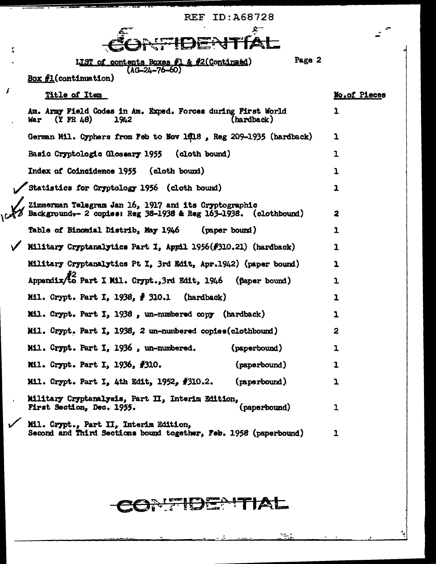|                      | KEF ID:A66/Z6                                                                                                           |              |
|----------------------|-------------------------------------------------------------------------------------------------------------------------|--------------|
| $\frac{V}{\Delta t}$ |                                                                                                                         |              |
|                      | Page 2<br>LIST of contents Boxes #1 & #2(Continaed)<br>$(AG - 24 - 76 - 60)$                                            |              |
|                      | $Box f1$ (continuation)                                                                                                 |              |
| £                    | Title of Item                                                                                                           | No.of Pieces |
|                      | Am. Army Field Codes in Am. Exped. Forces during First World<br>$(Y$ FR 48)<br>(hardback)<br>War<br>1942                | 1            |
|                      | German Mil. Cyphers from Feb to Nov 1418, Reg 209-1935 (hardback)                                                       | 1            |
|                      | Basic Cryptologic Glossary 1955<br>(cloth bound)                                                                        | ı            |
|                      | <b>Index of Coincidence 1955</b><br>(cloth bound)                                                                       | ı            |
|                      | Statistics for Cryptology 1956 (cloth bound)                                                                            | 1            |
|                      | Zimmerman Telegram Jan 16, 1917 and its Cryptographic<br>Background. 2 copies: Reg 38-1938 & Reg 163-1938. (clothbound) | 2            |
|                      | Table of Binomial Distrib, May 1946<br>(paper bound)                                                                    | ı            |
|                      | Military Cryptanalytics Part I, Appil 1956(#310.21) (hardback)                                                          | 1            |
|                      | Military Cryptanalytics Pt I, 3rd Edit, Apr.1942) (paper bound)                                                         | 1            |
|                      | Appendix/to Part I Mil. Crypt., 3rd Edit, 1946 (faper bound)                                                            | ı            |
|                      | Mil. Crypt. Part I, 1938, # 310.1<br>(hardback)                                                                         | ı            |
|                      | Mil. Crypt. Part I, 1938, un-numbered copy (hardback)                                                                   | ı            |
|                      | Mil. Crypt. Part I, 1938, 2 un-numbered copies(clothbound)                                                              | 2            |
|                      | Mil. Crypt. Part I, 1936, un-numbered.<br>(paperbound)                                                                  | ı            |
|                      | (paperbound)<br>Mil. Crypt. Part I, 1936, #310.                                                                         | 1            |
|                      | (paperbound)<br>Mil. Crypt. Part I, 4th Edit, 1952, #310.2.                                                             | 1            |
|                      | Military Cryptanalysis, Part II, Interim Edition,<br>(paperbound)<br>First Section, Dec. 1955.                          | 1            |
|                      | Mil. Crypt., Part II, Interim Edition,<br>Second and Third Sections bound together, Feb. 1958 (paperbound)              |              |

# CONTIDENTIAL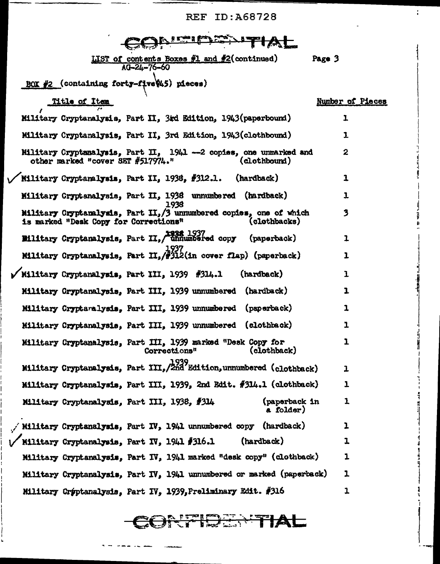PFF ID A68728

÷.

| rc e<br>ID:A00/Z0                                                                                                            |                  |
|------------------------------------------------------------------------------------------------------------------------------|------------------|
|                                                                                                                              |                  |
| <b>LIST of contents Boxes #1 and #2(continued)</b><br>$AQ - 24 - 76 - 60$                                                    | Page 3           |
| BOX $#2$ (containing forty-five $(4.5)$ pieces)                                                                              |                  |
| <u>Title of Item</u>                                                                                                         | Number of Pieces |
| Military Cryptanalysis, Part II, 3rd Edition, 1943(paperbound)                                                               | 1                |
| Military Cryptanalysis, Part II, 3rd Edition, 1943(clothbound)                                                               | 1                |
| Military Cryptanalysis, Part II, 1941 -- 2 copies, one unmarked and<br>other marked "cover SET #517974."<br>(clothbound)     | $\mathbf{2}$     |
| Military Cryptanalysis, Part II, 1938, #312.1. (hardback)                                                                    | 1                |
| Military Cryptanalysis, Part II, 1938 unnumbered (hardback)<br>1938                                                          | 1                |
| Military Cryptanalysis, Part II, /3 unnumbered copies, one of which<br>is marked "Desk Copy for Corrections"<br>(clothbacks) | 3                |
| Bilitary Cryptanalysis, Part II, Ennumbered copy (paperback)                                                                 | 1                |
| Military Cryptanalysis, Part II, $/$ #312(in cover flap) (paperback)                                                         | $\mathbf{I}$     |
| V Military Cryptanalysis, Part III, 1939 #314.1<br>(hardback)                                                                | 1                |
| Military Cryptanalysis, Part III, 1939 unnumbered (hardback)                                                                 | 1                |
| Military Cryptaralysis, Part III, 1939 unnumbered (paperback)                                                                | 1                |
| Military Cryptanalysis, Part III, 1939 unnumbered (clothback)                                                                | 1                |
| Military Cryptanalysis, Part III, 1939 marked "Desk Copy for<br>(clothback)<br>Corrections"                                  | 1                |
| Military Cryptanalysis, Part III, 2nd Edition, unnumbered (clothback)                                                        | $\mathbf{1}$     |
| Military Cryptanalysis, Part III, 1939, 2nd Edit. #314.1 (olothback)                                                         | 1                |
| (paperback in<br>Military Cryptanalysis, Part III, 1938, #314<br>a folder)                                                   | $\mathbf{1}$     |
| / Military Cryptanalysis, Part IV, 1941 unnumbered copy (hardback)                                                           | 1                |
| (hardback)<br>Military Cryptanalysis, Part IV, $1941\text{ }4316.1$                                                          | 1                |
| Military Cryptanalysis, Part IV, 1941 marked "desk copy" (clothback)                                                         | 1                |
| Military Cryptanalysis, Part IV, 1941 unnumbered or marked (paperback)                                                       | 1                |
| Military Crýptanalysis, Part IV, 1939, Preliminary Edit. #316                                                                | 1                |

CONTIERNITIAL

المراسم المراجات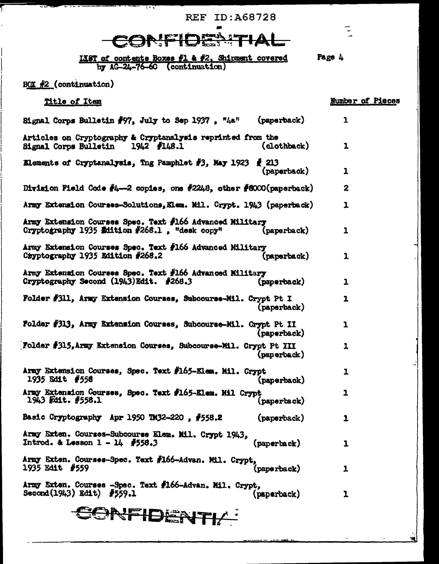**REF ID: A68728** 

 $\blacksquare$ 

 $\overline{L}$ 

÷.

Page 4

## CONFIDENTIAL

1187 of contents Boxes #1 & #2, Shipment covered<br>by AG-24-76-60 (continuation)

#### BOX #2 (continuation)

ŗ

 $\sim$   $\sim$   $\sim$ 

राज

| Title of Item                                                                                             |                                     | Number of Pieces |
|-----------------------------------------------------------------------------------------------------------|-------------------------------------|------------------|
| Signal Corps Bulletin $\#97$ , July to Sep 1937, $\frac{\pi}{4}a^n$ (paperback)                           |                                     | $\mathbf{r}$     |
| Articles on Cryptography & Cryptanalysis reprinted from the<br>Signal Corps Bulletin 1942 #148.1          | (clothback)                         | $\mathbf{1}$     |
| Elements of Cryptanalysis, Tng Pamphlet #3, May 1923                                                      | $\boldsymbol{f}$ 213<br>(paperback) | $\mathbf{1}$     |
| Division Field Code $#4--2$ copies, one $#2243$ , other $#8000(paporback)$                                |                                     | $\boldsymbol{z}$ |
| Army Extension Courses-Solutions, Elem. Mil. Crypt. 1943 (paperback)                                      |                                     | $\mathbf{1}$     |
| Army Extension Courses Spec. Text #166 Advanced Military<br>Cryptography 1935 Edition #268.1, "desk copy" | (paperback)                         | $\mathbf{1}$     |
| Army Extension Courses Spec. Text #166 Advanced Military<br>Chyptography 1935 Edition #268.2              | (paperback)                         | 1                |
| Army Extension Courses Spec. Text #166 Advanced Military<br>Cryptography Second $(1943)$ Edit. #268.3     | (paperback)                         | ı                |
| Folder #311, Army Extension Courses, Subcourse-Mil. Crypt Pt I                                            | (paperback)                         | 1                |
| Folder #313, Army Extension Courses, Subcourse-Mil. Crypt Pt II                                           | (paperback)                         | $\mathbf{I}$     |
| Folder #315, Army Extension Courses, Subcourse-Mil. Crypt Pt III                                          | (paperback)                         | $\mathbf{1}$     |
| Army Extension Courses, Spec. Text #165-Elem. Mil. Crypt<br>1935 Edit #558                                | (paperback)                         | 1                |
| Army Extension Courses, Spec. Text #165-Elem. Mil Crypt<br>$1943$ Felit. $#558.1$                         | $\mathbf{p}$                        | $\mathbf{I}$     |
| Basic Cryptography Apr 1950 TM32-220, $#558.2$                                                            | (paperback)                         | ı                |
| Army Exten. Courses-Subcourse Elem. Mil. Crypt 1943,<br>Introd. & Lesson 1 - 14 #558.3                    | (paperback)                         | 1                |
| Army Exten. Courses-Spec. Text #166-Advan. Mil. Crypt,<br>1935 Edit #559                                  | (paperback)                         | 1                |
| Army Exten. Courses -Spec. Text #166-Advan. Mil. Crypt,<br>$Second(1943)$ Edit) $#559.1$                  | (paperback)                         | ı                |
| NFIDENT                                                                                                   |                                     |                  |